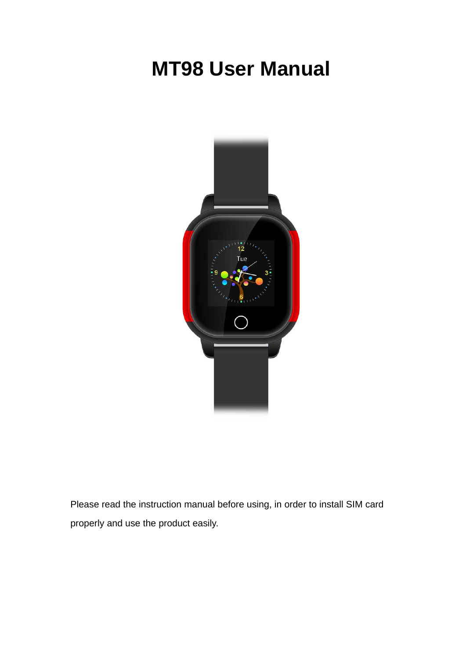# **MT98 User Manual**



Please read the instruction manual before using, in order to install SIM card properly and use the product easily.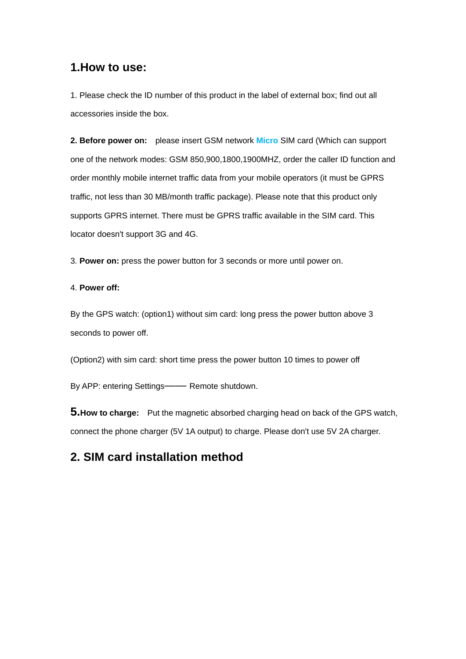## **1.How to use:**

1. Please check the ID number of this product in the label of external box; find out all accessories inside the box.

**2. Before power on:** please insert GSM network **Micro** SIM card (Which can support one of the network modes: GSM 850,900,1800,1900MHZ, order the caller ID function and order monthly mobile internet traffic data from your mobile operators (it must be GPRS traffic, not less than 30 MB/month traffic package). Please note that this product only supports GPRS internet. There must be GPRS traffic available in the SIM card. This locator doesn't support 3G and 4G.

3. **Power on:** press the power button for 3 seconds or more until power on.

#### 4. **Power off:**

By the GPS watch: (option1) without sim card: long press the power button above 3 seconds to power off.

(Option2) with sim card: short time press the power button 10 times to power off

By APP: entering Settings—— Remote shutdown.

**5.How to charge:** Put the magnetic absorbed charging head on back of the GPS watch, connect the phone charger (5V 1A output) to charge. Please don't use 5V 2A charger.

# **2. SIM card installation method**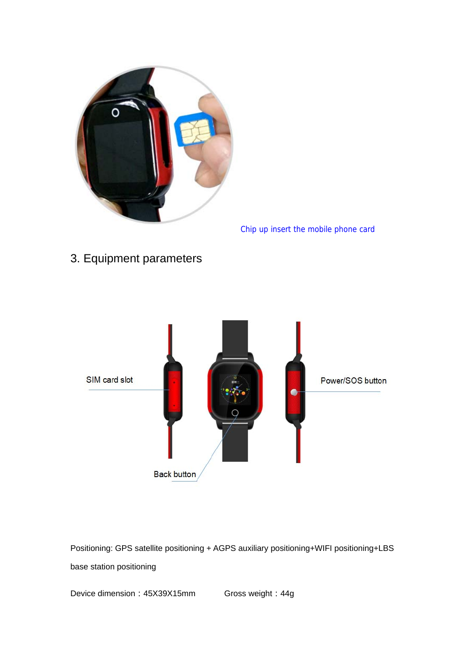

Chip up insert the mobile phone card

3. Equipment parameters



Positioning: GPS satellite positioning + AGPS auxiliary positioning+WIFI positioning+LBS base station positioning

Device dimension: 45X39X15mm Gross weight: 44g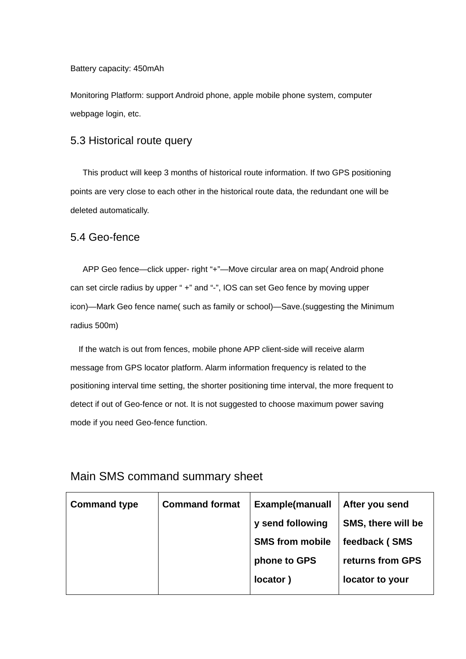Battery capacity: 450mAh

Monitoring Platform: support Android phone, apple mobile phone system, computer webpage login, etc.

### 5.3 Historical route query

This product will keep 3 months of historical route information. If two GPS positioning points are very close to each other in the historical route data, the redundant one will be deleted automatically.

## 5.4 Geo-fence

APP Geo fence—click upper- right "+"—Move circular area on map( Android phone can set circle radius by upper " +" and "-", IOS can set Geo fence by moving upper icon)—Mark Geo fence name( such as family or school)—Save.(suggesting the Minimum radius 500m)

If the watch is out from fences, mobile phone APP client-side will receive alarm message from GPS locator platform. Alarm information frequency is related to the positioning interval time setting, the shorter positioning time interval, the more frequent to detect if out of Geo-fence or not. It is not suggested to choose maximum power saving mode if you need Geo-fence function.

| <b>Command type</b> | <b>Command format</b> | <b>Example</b> (manuall | After you send     |
|---------------------|-----------------------|-------------------------|--------------------|
|                     |                       | y send following        | SMS, there will be |
|                     |                       | <b>SMS from mobile</b>  | feedback (SMS      |
|                     |                       | phone to GPS            | returns from GPS   |
|                     |                       | locator)                | locator to your    |
|                     |                       |                         |                    |

## Main SMS command summary sheet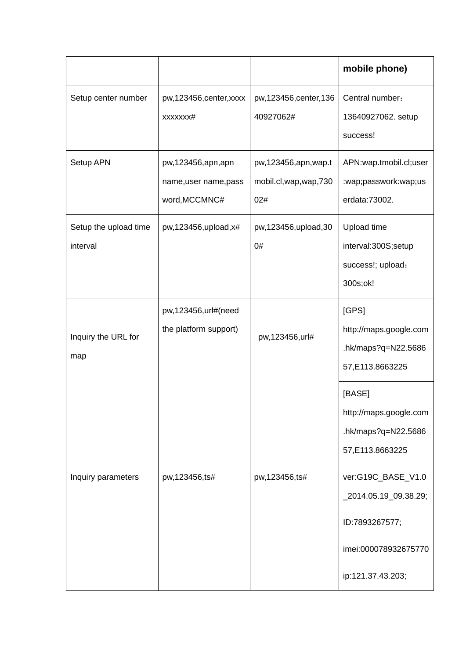|                                   |                                                             |                                                          | mobile phone)                                                              |
|-----------------------------------|-------------------------------------------------------------|----------------------------------------------------------|----------------------------------------------------------------------------|
| Setup center number               | pw,123456, center, xxxx<br>XXXXXXX#                         | pw, 123456, center, 136<br>40927062#                     | Central number:<br>13640927062. setup<br>success!                          |
| Setup APN                         | pw,123456,apn,apn<br>name, user name, pass<br>word, MCCMNC# | pw, 123456, apn, wap.t<br>mobil.cl, wap, wap, 730<br>02# | APN:wap.tmobil.cl;user<br>:wap;passwork:wap;us<br>erdata:73002.            |
| Setup the upload time<br>interval | pw, $123456$ , upload, $x\#$                                | pw,123456,upload,30<br>0#                                | Upload time<br>interval:300S;setup<br>success!; upload:<br>300s;ok!        |
| Inquiry the URL for<br>map        | pw,123456,url#(need<br>the platform support)                | pw,123456,url#                                           | [GPS]<br>http://maps.google.com<br>hk/maps?q=N22.5686<br>57,E113.8663225   |
|                                   |                                                             |                                                          | [BASE]<br>http://maps.google.com<br>.hk/maps?q=N22.5686<br>57,E113.8663225 |
| Inquiry parameters                | pw,123456,ts#                                               | pw,123456,ts#                                            | ver:G19C_BASE_V1.0<br>_2014.05.19_09.38.29;                                |
|                                   |                                                             |                                                          | ID:7893267577;                                                             |
|                                   |                                                             |                                                          | imei:000078932675770                                                       |
|                                   |                                                             |                                                          | ip:121.37.43.203;                                                          |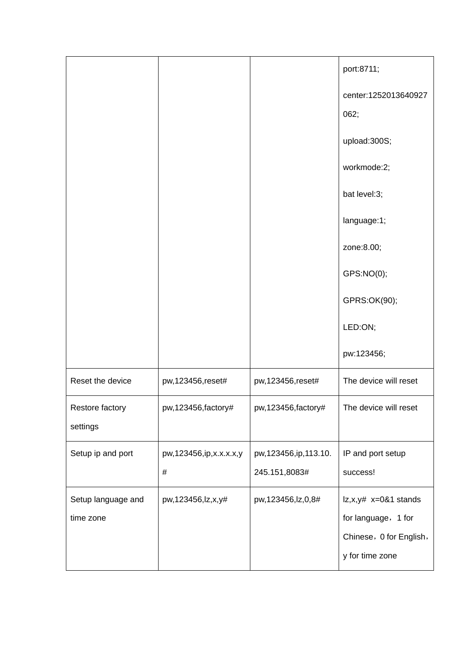|                             |                            |                         | port:8711;                                 |
|-----------------------------|----------------------------|-------------------------|--------------------------------------------|
|                             |                            |                         | center:1252013640927<br>062;               |
|                             |                            |                         | upload:300S;                               |
|                             |                            |                         | workmode:2;                                |
|                             |                            |                         | bat level:3;                               |
|                             |                            |                         | language:1;                                |
|                             |                            |                         | zone:8.00;                                 |
|                             |                            |                         | GPS:NO(0);                                 |
|                             |                            |                         | GPRS:OK(90);                               |
|                             |                            |                         | LED:ON;                                    |
|                             |                            |                         | pw:123456;                                 |
| Reset the device            | pw, 123456, reset#         | pw,123456,reset#        | The device will reset                      |
| Restore factory<br>settings | pw,123456, factory#        | pw, 123456, factory#    | The device will reset                      |
| Setup ip and port           | pw, 123456, ip, x.x.x.x, y | pw, 123456, ip, 113.10. | IP and port setup                          |
|                             | $\#$                       | 245.151,8083#           | success!                                   |
| Setup language and          | pw,123456,lz,x,y#          | pw,123456,lz,0,8#       | $ z,x,y# x=0&1$ stands                     |
| time zone                   |                            |                         | for language, 1 for                        |
|                             |                            |                         | Chinese, 0 for English,<br>y for time zone |